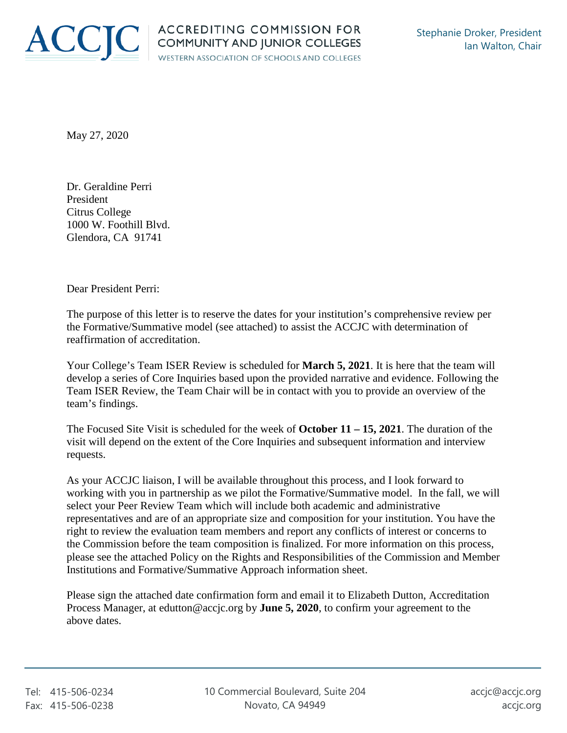

May 27, 2020

Dr. Geraldine Perri President Citrus College 1000 W. Foothill Blvd. Glendora, CA 91741

Dear President Perri:

The purpose of this letter is to reserve the dates for your institution's comprehensive review per the Formative/Summative model (see attached) to assist the ACCJC with determination of reaffirmation of accreditation.

Your College's Team ISER Review is scheduled for **March 5, 2021**. It is here that the team will develop a series of Core Inquiries based upon the provided narrative and evidence. Following the Team ISER Review, the Team Chair will be in contact with you to provide an overview of the team's findings.

The Focused Site Visit is scheduled for the week of **October 11 – 15, 2021**. The duration of the visit will depend on the extent of the Core Inquiries and subsequent information and interview requests.

As your ACCJC liaison, I will be available throughout this process, and I look forward to working with you in partnership as we pilot the Formative/Summative model. In the fall, we will select your Peer Review Team which will include both academic and administrative representatives and are of an appropriate size and composition for your institution. You have the right to review the evaluation team members and report any conflicts of interest or concerns to the Commission before the team composition is finalized. For more information on this process, please see the attached Policy on the Rights and Responsibilities of the Commission and Member Institutions and Formative/Summative Approach information sheet.

Please sign the attached date confirmation form and email it to Elizabeth Dutton, Accreditation Process Manager, at edutton@accjc.org by **June 5, 2020**, to confirm your agreement to the above dates.